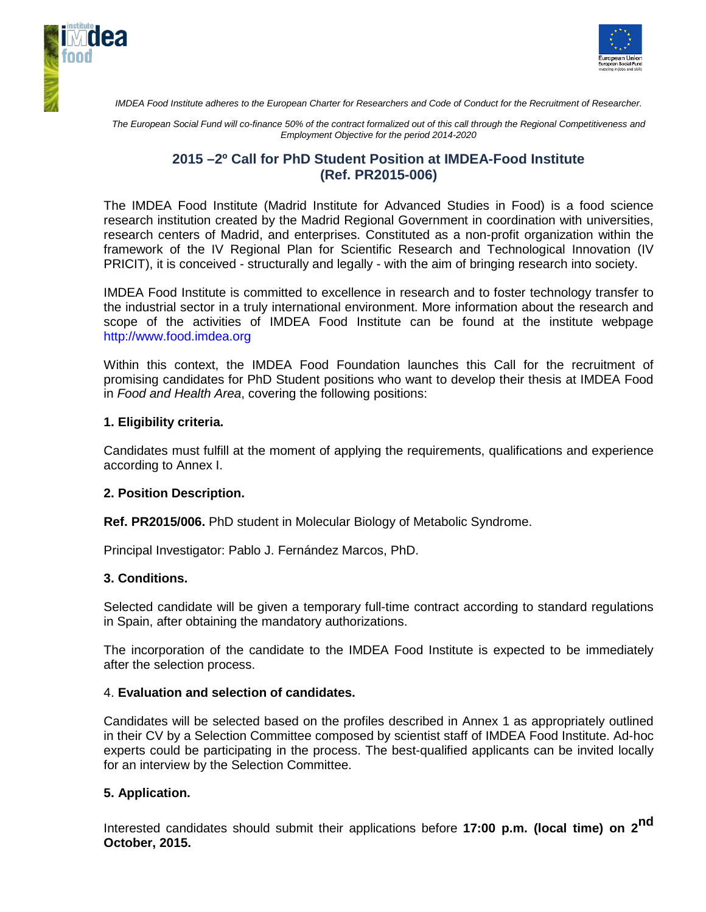



*IMDEA Food Institute adheres to the European Charter for Researchers and Code of Conduct for the Recruitment of Researcher.*

*The European Social Fund will co-finance 50% of the contract formalized out of this call through the Regional Competitiveness and Employment Objective for the period 2014-2020*

# **2015 –2º Call for PhD Student Position at IMDEA-Food Institute (Ref. PR2015-006)**

The IMDEA Food Institute (Madrid Institute for Advanced Studies in Food) is a food science research institution created by the Madrid Regional Government in coordination with universities, research centers of Madrid, and enterprises. Constituted as a non-profit organization within the framework of the IV Regional Plan for Scientific Research and Technological Innovation (IV PRICIT), it is conceived - structurally and legally - with the aim of bringing research into society.

IMDEA Food Institute is committed to excellence in research and to foster technology transfer to the industrial sector in a truly international environment. More information about the research and scope of the activities of IMDEA Food Institute can be found at the institute webpage http://www.food.imdea.org

Within this context, the IMDEA Food Foundation launches this Call for the recruitment of promising candidates for PhD Student positions who want to develop their thesis at IMDEA Food in *Food and Health Area*, covering the following positions:

## **1. Eligibility criteria.**

Candidates must fulfill at the moment of applying the requirements, qualifications and experience according to Annex I.

#### **2. Position Description.**

**Ref. PR2015/006.** PhD student in Molecular Biology of Metabolic Syndrome.

Principal Investigator: Pablo J. Fernández Marcos, PhD.

#### **3. Conditions.**

Selected candidate will be given a temporary full-time contract according to standard regulations in Spain, after obtaining the mandatory authorizations.

The incorporation of the candidate to the IMDEA Food Institute is expected to be immediately after the selection process.

#### 4. **Evaluation and selection of candidates.**

Candidates will be selected based on the profiles described in Annex 1 as appropriately outlined in their CV by a Selection Committee composed by scientist staff of IMDEA Food Institute. Ad-hoc experts could be participating in the process. The best-qualified applicants can be invited locally for an interview by the Selection Committee.

## **5. Application.**

Interested candidates should submit their applications before **17:00 p.m. (local time) on 2nd October, 2015.**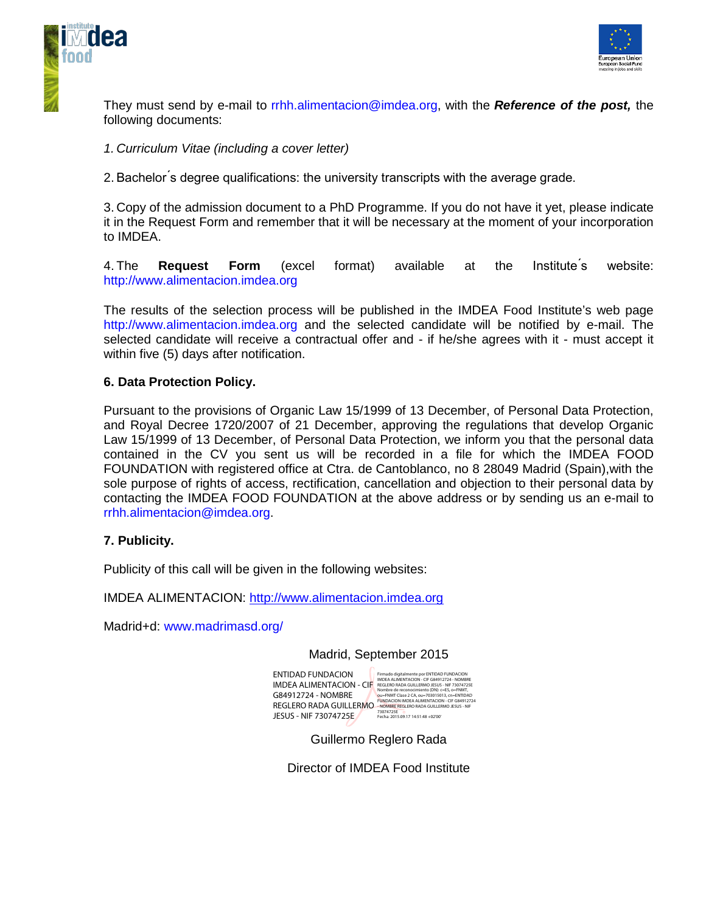



They must send by e-mail to rrhh.alimentacion@imdea.org, with the *Reference of the post,* the following documents:

## *1. Curriculum Vitae (including a cover letter)*

2. Bachelor ́s degree qualifications: the university transcripts with the average grade.

3. Copy of the admission document to a PhD Programme. If you do not have it yet, please indicate it in the Request Form and remember that it will be necessary at the moment of your incorporation to IMDEA.

4. The **Request Form** (excel format) available at the Institute ́s website: http://www.alimentacion.imdea.org

The results of the selection process will be published in the IMDEA Food Institute's web page http://www.alimentacion.imdea.org and the selected candidate will be notified by e-mail. The selected candidate will receive a contractual offer and - if he/she agrees with it - must accept it within five (5) days after notification.

## **6. Data Protection Policy.**

Pursuant to the provisions of Organic Law 15/1999 of 13 December, of Personal Data Protection, and Royal Decree 1720/2007 of 21 December, approving the regulations that develop Organic Law 15/1999 of 13 December, of Personal Data Protection, we inform you that the personal data contained in the CV you sent us will be recorded in a file for which the IMDEA FOOD FOUNDATION with registered office at Ctra. de Cantoblanco, no 8 28049 Madrid (Spain),with the sole purpose of rights of access, rectification, cancellation and objection to their personal data by contacting the IMDEA FOOD FOUNDATION at the above address or by sending us an e-mail to rrhh.alimentacion@imdea.org.

## **7. Publicity.**

Publicity of this call will be given in the following websites:

IMDEA ALIMENTACION: [http://www.alimentacion.imdea.org](http://www.alimentacion.imdea.org/)

Madrid+d: www.madrimasd.org/

#### Madrid, September 2015

ENTIDAD FUNDACION ENTIDAD FUNDACION FRIMAD digitalmente poet NTOAD FUNDACION<br>IMDEA ALLIMENTACION - CIF GRACLERO PADA GUILLERMO JESUS - NE 73074725E<br>G84912724 - NOMBRE Mondre de econocimiento (DN; c=55, o=FMMT,<br>G84912724 - NOMBRE Mondre de c G84912724 - NOMBRE REGLERO RADA GUILLERMO FUNDACION IMDEA ALIMENTACION - CIF G84912724 JESUS - NIF 73074725E

73074725E Fecha: 2015.09.17 14:51:48 +02'00'

Guillermo Reglero Rada

Director of IMDEA Food Institute